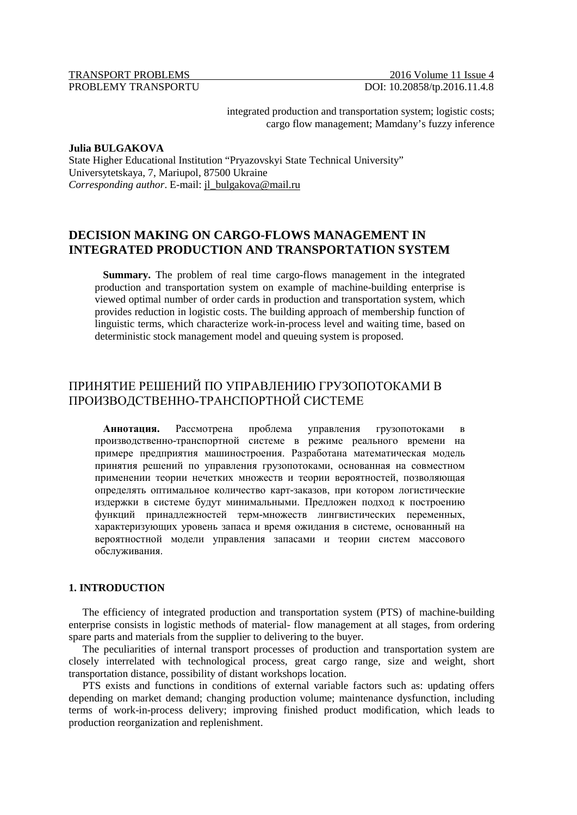## TRANSPORT PROBLEMS 2016 Volume 11 Issue 4 PROBLEMY TRANSPORTU DOI: 10.20858/tp.2016.11.4.8

integrated production and transportation system; logistic costs; cargo flow management; Mamdany's fuzzy inference

#### **Julia BULGAKOVA**

State Higher Educational Institution "Pryazovskyi State Technical University" Universytetskaya, 7, Mariupol, 87500 Ukraine *Corresponding author*. E-mail: jl\_bulgakova@mail.ru

# **DECISION MAKING ON CARGO-FLOWS MANAGEMENT IN INTEGRATED PRODUCTION AND TRANSPORTATION SYSTEM**

**Summary.** The problem of real time cargo-flows management in the integrated production and transportation system on example of machine-building enterprise is viewed optimal number of order cards in production and transportation system, which provides reduction in logistic costs. The building approach of membership function of linguistic terms, which characterize work-in-process level and waiting time, based on deterministic stock management model and queuing system is proposed.

# ПРИНЯТИЕ РЕШЕНИЙ ПО УПРАВЛЕНИЮ ГРУЗОПОТОКАМИ В ПРОИЗВОДСТВЕННО-ТРАНCПОРТНОЙ СИСТЕМЕ

**Аннотация.** Рассмотрена проблема управления грузопотоками в производственно-транспортной системе в режиме реального времени на примере предприятия машиностроения. Разработана математическая модель принятия решений по управления грузопотоками, основанная на совместном применении теории нечетких множеств и теории вероятностей, позволяющая определять оптимальное количество карт-заказов, при котором логистические издержки в системе будут минимальными. Предложен подход к построению функций принадлежностей терм-множеств лингвистических переменных, характеризующих уровень запаса и время ожидания в системе, основанный на вероятностной модели управления запасами и теории систем массового обслуживания.

## **1. INTRODUCTION**

The efficiency of integrated production and transportation system (PTS) of machine-building enterprise consists in logistic methods of material- flow management at all stages, from ordering spare parts and materials from the supplier to delivering to the buyer.

The peculiarities of internal transport processes of production and transportation system are closely interrelated with technological process, great cargo range, size and weight, short transportation distance, possibility of distant workshops location.

PTS exists and functions in conditions of external variable factors such as: updating offers depending on market demand; changing production volume; maintenance dysfunction, including terms of work-in-process delivery; improving finished product modification, which leads to production reorganization and replenishment.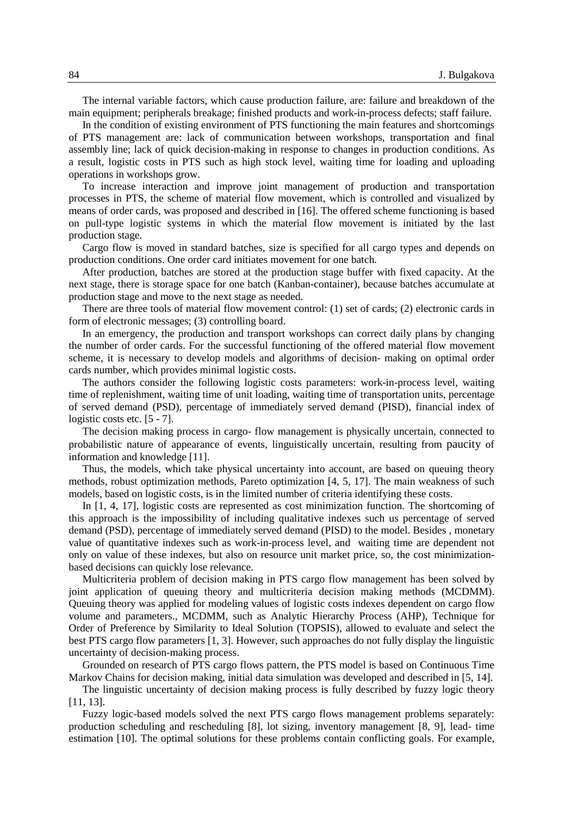The internal variable factors, which cause production failure, are: failure and breakdown of the main equipment; peripherals breakage; finished products and work-in-process defects; staff failure.

In the condition of existing environment of PTS functioning the main features and shortcomings of PTS management are: lack of communication between workshops, transportation and final assembly line; lack of quick decision-making in response to changes in production conditions. As a result, logistic costs in PTS such as high stock level, waiting time for loading and uploading operations in workshops grow.

To increase interaction and improve joint management of production and transportation processes in PTS, the scheme of material flow movement, which is controlled and visualized by means of order cards, was proposed and described in [16]. The offered scheme functioning is based on pull-type logistic systems in which the material flow movement is initiated by the last production stage.

Cargo flow is moved in standard batches, size is specified for all cargo types and depends on production conditions. One order card initiates movement for one batch.

After production, batches are stored at the production stage buffer with fixed capacity. At the next stage, there is storage space for one batch (Kanban-container), because batches accumulate at production stage and move to the next stage as needed.

There are three tools of material flow movement control: (1) set of cards; (2) electronic cards in form of electronic messages; (3) controlling board.

In an emergency, the production and transport workshops can correct daily plans by changing the number of order cards. For the successful functioning of the offered material flow movement scheme, it is necessary to develop models and algorithms of decision- making on optimal order cards number, which provides minimal logistic costs.

The authors consider the following logistic costs parameters: work-in-process level, waiting time of replenishment, waiting time of unit loading, waiting time of transportation units, percentage of served demand (PSD), percentage of immediately served demand (PISD), financial index of logistic costs etc. [5 - 7].

The decision making process in cargo- flow management is physically uncertain, connected to probabilistic nature of appearance of events, linguistically uncertain, resulting from paucity of information and knowledge [11].

Thus, the models, which take physical uncertainty into account, are based on queuing theory methods, robust optimization methods, Pareto optimization [4, 5, 17]. The main weakness of such models, based on logistic costs, is in the limited number of criteria identifying these costs.

In [1, 4, 17], logistic costs are represented as cost minimization function. The shortcoming of this approach is the impossibility of including qualitative indexes such us percentage of served demand (PSD), percentage of immediately served demand (PISD) to the model. Besides , monetary value of quantitative indexes such as work-in-process level, and waiting time are dependent not only on value of these indexes, but also on resource unit market price, so, the cost minimizationbased decisions can quickly lose relevance.

Multicriteria problem of decision making in PTS cargo flow management has been solved by joint application of queuing theory and multicriteria decision making methods (MCDMM). Queuing theory was applied for modeling values of logistic costs indexes dependent on cargo flow volume and parameters., MCDMM, such as Analytic Hierarchy Process (AHP), Technique for Order of Preference by Similarity to Ideal Solution (TOPSIS), allowed to evaluate and select the best PTS cargo flow parameters [1, 3]. However, such approaches do not fully display the linguistic uncertainty of decision-making process.

Grounded on research of PTS cargo flows pattern, the PTS model is based on Continuous Time Markov Chains for decision making, initial data simulation was developed and described in [5, 14].

The linguistic uncertainty of decision making process is fully described by fuzzy logic theory [11, 13].

Fuzzy logic-based models solved the next PTS cargo flows management problems separately: production scheduling and rescheduling [8], lot sizing, inventory management [8, 9], lead- time estimation [10]. The optimal solutions for these problems contain conflicting goals. For example,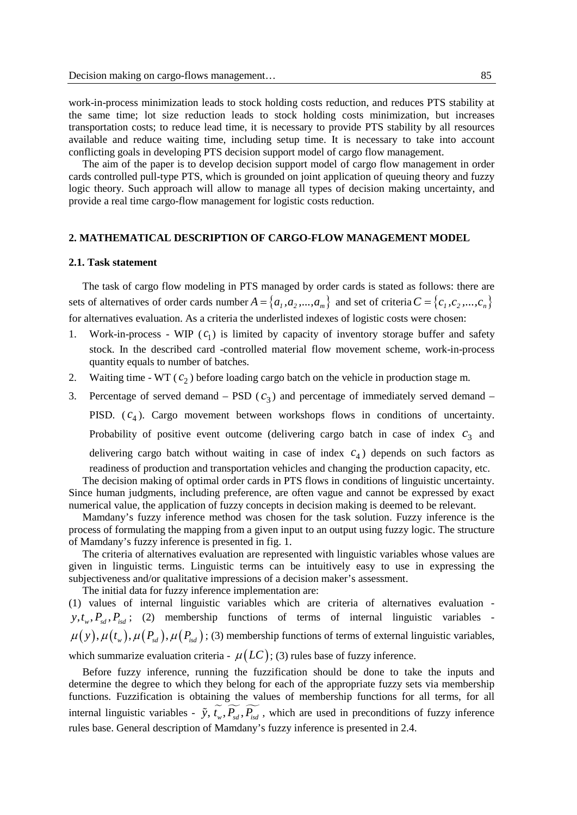work-in-process minimization leads to stock holding costs reduction, and reduces PTS stability at the same time; lot size reduction leads to stock holding costs minimization, but increases transportation costs; to reduce lead time, it is necessary to provide PTS stability by all resources available and reduce waiting time, including setup time. It is necessary to take into account conflicting goals in developing PTS decision support model of cargo flow management.

The aim of the paper is to develop decision support model of cargo flow management in order cards controlled pull-type PTS, which is grounded on joint application of queuing theory and fuzzy logic theory. Such approach will allow to manage all types of decision making uncertainty, and provide a real time cargo-flow management for logistic costs reduction.

## **2. MATHEMATICAL DESCRIPTION OF CARGO-FLOW MANAGEMENT MODEL**

#### **2.1. Task statement**

The task of cargo flow modeling in PTS managed by order cards is stated as follows: there are sets of alternatives of order cards number  $A = \{a_1, a_2, ..., a_m\}$  and set of criteria  $C = \{c_1, c_2, ..., c_n\}$ for alternatives evaluation. As a criteria the underlisted indexes of logistic costs were chosen:

- 1. Work-in-process WIP  $(c_1)$  is limited by capacity of inventory storage buffer and safety stock. In the described card -controlled material flow movement scheme, work-in-process quantity equals to number of batches.
- 2. Waiting time WT  $(c_2)$  before loading cargo batch on the vehicle in production stage m.

3. Percentage of served demand – PSD  $(c_3)$  and percentage of immediately served demand – PISD.  $(c_4)$ . Cargo movement between workshops flows in conditions of uncertainty. Probability of positive event outcome (delivering cargo batch in case of index  $c_3$  and delivering cargo batch without waiting in case of index  $c<sub>4</sub>$ ) depends on such factors as readiness of production and transportation vehicles and changing the production capacity, etc.

The decision making of optimal order cards in PTS flows in conditions of linguistic uncertainty. Since human judgments, including preference, are often vague and cannot be expressed by exact numerical value, the application of fuzzy concepts in decision making is deemed to be relevant.

Mamdany's fuzzy inference method was chosen for the task solution. Fuzzy inference is the process of formulating the mapping from a given input to an output using fuzzy logic. The structure of Mamdany's fuzzy inference is presented in fig. 1.

The criteria of alternatives evaluation are represented with linguistic variables whose values are given in linguistic terms. Linguistic terms can be intuitively easy to use in expressing the subjectiveness and/or qualitative impressions of a decision maker's assessment.

The initial data for fuzzy inference implementation are: (1) values of internal linguistic variables which are criteria of alternatives evaluation  $y, t_w, P_{sd}, P_{sd}$ ; (2) membership functions of terms of internal linguistic variables - $\mu(y), \mu(t_w), \mu(P_{sd}), \mu(P_{sd})$ ; (3) membership functions of terms of external linguistic variables, which summarize evaluation criteria -  $\mu (LC)$ ; (3) rules base of fuzzy inference.

Before fuzzy inference, running the fuzzification should be done to take the inputs and determine the degree to which they belong for each of the appropriate fuzzy sets via membership functions. Fuzzification is obtaining the values of membership functions for all terms, for all internal linguistic variables -  $\tilde{y}$ ,  $\tilde{t}_w$ ,  $\tilde{P}_{sd}$ ,  $\tilde{P}_{sd}$ , which are used in preconditions of fuzzy inference rules base. General description of Mamdany's fuzzy inference is presented in 2.4.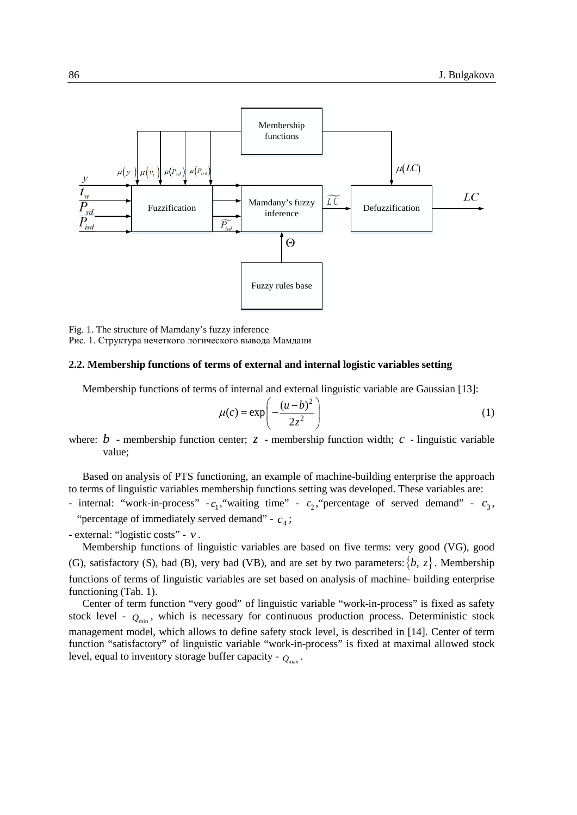

Fig. 1. The structure of Mamdany's fuzzy inference Рис. 1. Структура нечеткого логического вывода Мамдани

#### **2.2. Membership functions of terms of external and internal logistic variables setting**

Membership functions of terms of internal and external linguistic variable are Gaussian [13]:

$$
\mu(c) = \exp\left(-\frac{(u-b)^2}{2z^2}\right) \tag{1}
$$

where:  $b$  - membership function center;  $\zeta$  - membership function width;  $c$  - linguistic variable value;

Based on analysis of PTS functioning, an example of machine-building enterprise the approach to terms of linguistic variables membership functions setting was developed. These variables are:

- internal: "work-in-process"  $-c_1$ , "waiting time" -  $c_2$ , "percentage of served demand" -  $c_3$ , "percentage of immediately served demand" -  $c_4$ ;

- external: "logistic costs" - *v* .

Membership functions of linguistic variables are based on five terms: very good (VG), good (G), satisfactory (S), bad (B), very bad (VB), and are set by two parameters:  $\{b, z\}$ . Membership functions of terms of linguistic variables are set based on analysis of machine- building enterprise functioning (Tab. 1).

Center of term function "very good" of linguistic variable "work-in-process" is fixed as safety stock level -  $Q_{\text{min}}$ , which is necessary for continuous production process. Deterministic stock management model, which allows to define safety stock level, is described in [14]. Center of term function "satisfactory" of linguistic variable "work-in-process" is fixed at maximal allowed stock level, equal to inventory storage buffer capacity -  $Q_{\text{max}}$ .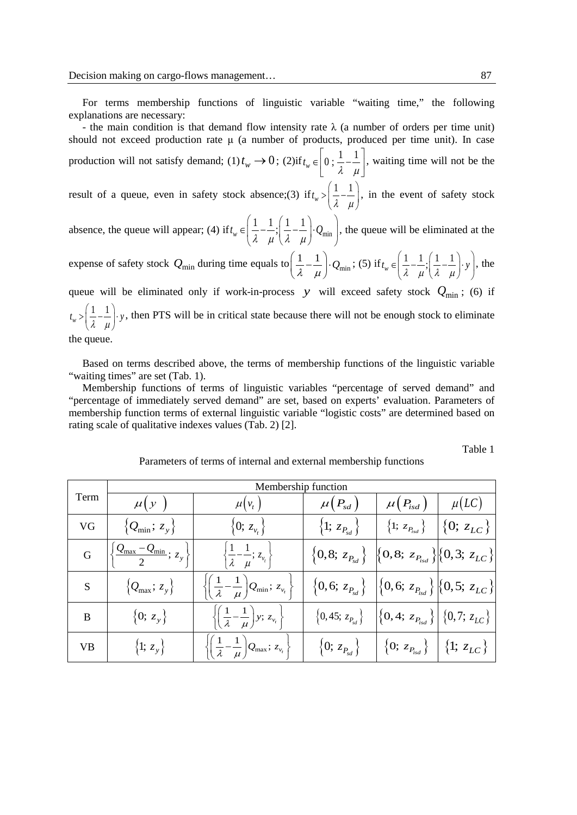For terms membership functions of linguistic variable "waiting time," the following explanations are necessary:

- the main condition is that demand flow intensity rate  $\lambda$  (a number of orders per time unit) should not exceed production rate μ (a number of products, produced per time unit). In case production will not satisfy demand; (1)  $t_w \rightarrow 0$ ; (2) if  $t_w \in \left[0; \frac{1}{\lambda} - \frac{1}{\mu}\right]$  $\in \left[0; \frac{1}{\lambda} - \frac{1}{\mu}\right]$ , waiting time will not be the

result of a queue, even in safety stock absence;(3) if  $t_w > \left(\frac{1}{\lambda} - \frac{1}{\mu}\right)$  $>\left(\frac{1}{\lambda} - \frac{1}{\mu}\right)$ , in the event of safety stock

absence, the queue will appear; (4) if  $t_w \in \left(\frac{1}{\lambda} - \frac{1}{\mu}\cdot\left(\frac{1}{\lambda} - \frac{1}{\mu}\right) \cdot Q_{\min}\right)$  $\begin{pmatrix} 1 & 1 & 1 & 1 \end{pmatrix}$  $\epsilon \left( \frac{1}{\lambda} - \frac{1}{\mu} ; \left( \frac{1}{\lambda} - \frac{1}{\mu} \right) Q_{\text{min}} \right)$ , the queue will be eliminated at the

expense of safety stock  $Q_{\text{min}}$  during time equals to  $\left(\frac{1}{\lambda} - \frac{1}{\mu}\right) \cdot Q_{\text{min}}$ ; (5) if  $t_w \in \left(\frac{1}{\lambda} - \frac{1}{\mu}\right) \cdot \left(\frac{1}{\lambda} - \frac{1}{\mu}\right) \cdot y$  $\epsilon \left( \frac{1}{\lambda} - \frac{1}{\mu} ; \left( \frac{1}{\lambda} - \frac{1}{\mu} \right)$  y  $\right)$ , the

queue will be eliminated only if work-in-process *y* will exceed safety stock  $Q_{\text{min}}$ ; (6) if  $t_w > \left(\frac{1}{\lambda} - \frac{1}{\mu}\right)$  y, then PTS will be in critical state because there will not be enough stock to eliminate

the queue.

Based on terms described above, the terms of membership functions of the linguistic variable "waiting times" are set (Tab. 1).

Membership functions of terms of linguistic variables "percentage of served demand" and "percentage of immediately served demand" are set, based on experts' evaluation. Parameters of membership function terms of external linguistic variable "logistic costs" are determined based on rating scale of qualitative indexes values (Tab. 2) [2].

Table 1

|           | Membership function                                         |                                                                                             |                                    |                                                                                   |                      |  |  |
|-----------|-------------------------------------------------------------|---------------------------------------------------------------------------------------------|------------------------------------|-----------------------------------------------------------------------------------|----------------------|--|--|
| Term      | $\mu(y)$                                                    | $\mu(v_t)$                                                                                  | $\mu(P_{sd})$                      | $\mu(P_{isd})$                                                                    | $\mu(LC)$            |  |  |
| VG        | $\{Q_{\min}; z_{y}\}\$                                      | $\{0; z_{\nu_t}\}\$                                                                         | $\{1;\,z_{P_{sd}}\}$               | $\{1;\,z_{P_{isd}}\}$                                                             | $\{\{0;\,z_{LC}\}\}$ |  |  |
| G         | $\left \frac{Q_{\text{max}}-Q_{\text{min}}}{2}; z_y\right $ | $\left\{\frac{1}{\lambda}-\frac{1}{\mu}; z_{\nu_t}\right\}$                                 | $\left\{0,8;\, z_{P_{sd}}\right\}$ | $\left\{0,8;\ z_{P_{isd}}\right\}\left\{0,3;\ z_{LC}\right\}$                     |                      |  |  |
| S         | $\{Q_{\text{max}}; z_{y}\}\$                                | $\left\{\left(\frac{1}{\lambda}-\frac{1}{\mu}\right)Q_{\min};\, z_{v_t}\right\}$            | $\left\{0,6;\,z_{P_{sd}}\right\}$  | $\left \left\{0,6;\,z_{P_{isd}}\right\}\right \left\{0,5;\,z_{LC}\right\}\right $ |                      |  |  |
| B         | $\{0; z_y\}$                                                | $\left\{ \left( \frac{1}{\lambda} - \frac{1}{\mu} \right) y; z_{\nu_i} \right\}$            | $\{0, 45; z_{P_{sd}}\}$            | $\left \{0,4;\,z_{P_{isd}}\}\right \{0,7;\,z_{LC}\}\$                             |                      |  |  |
| <b>VB</b> | {1; $z_y$ }                                                 | $\left\{ \left( \frac{1}{\lambda} - \frac{1}{\mu} \right) Q_{\text{max}}; z_{v_t} \right\}$ | $\{0;\, z_{P_{sd}}\}$              | $\{0; z_{P_{isd}}\}\  \{1; z_{LC}\}\$                                             |                      |  |  |

Parameters of terms of internal and external membership functions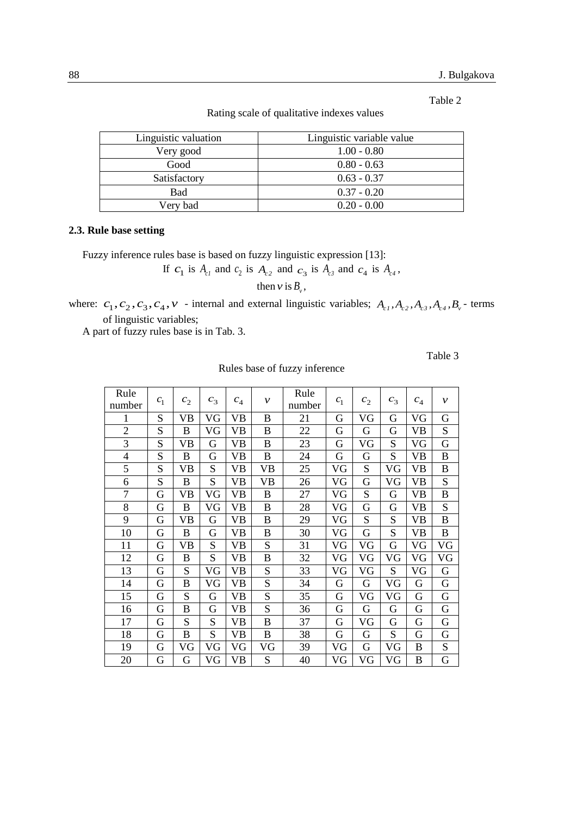Table 2

Rating scale of qualitative indexes values

| Linguistic valuation | Linguistic variable value |
|----------------------|---------------------------|
| Very good            | $1.00 - 0.80$             |
| Good                 | $0.80 - 0.63$             |
| Satisfactory         | $0.63 - 0.37$             |
| Bad                  | $0.37 - 0.20$             |
| Very bad             | $0.20 - 0.00$             |

### **2.3. Rule base setting**

Fuzzy inference rules base is based on fuzzy linguistic expression [13]:

If  $c_1$  is  $A_{c1}$  and  $c_2$  is  $A_{c2}$  and  $c_3$  is  $A_{c3}$  and  $c_4$  is  $A_{c4}$ ,

then  $v$  is  $B_v$ ,

where:  $c_1, c_2, c_3, c_4, v$  - internal and external linguistic variables;  $A_{c1}, A_{c2}, A_{c3}, A_{c4}, B_v$  - terms of linguistic variables;

A part of fuzzy rules base is in Tab. 3.

Table 3

| Rule           |                |                |       |           |              | Rule   |         |                |       |           |              |
|----------------|----------------|----------------|-------|-----------|--------------|--------|---------|----------------|-------|-----------|--------------|
| number         | c <sub>1</sub> | c <sub>2</sub> | $c_3$ | $c_4$     | $\mathcal V$ | number | $c_{1}$ | c <sub>2</sub> | $c_3$ | $c_4$     | $\mathcal V$ |
| 1              | S              | VB             | VG    | VB        | B            | 21     | G       | VG             | G     | VG        | G            |
| $\overline{2}$ | S              | $\mathbf B$    | VG    | VB        | B            | 22     | G       | G              | G     | <b>VB</b> | S            |
| 3              | S              | VB             | G     | VB        | B            | 23     | G       | VG             | S     | VG        | G            |
| $\overline{4}$ | S              | B              | G     | VB        | B            | 24     | G       | G              | S     | VВ        | B            |
| 5              | S              | VB             | S     | VB        | VB           | 25     | VG      | S              | VG    | VB        | $\bf{B}$     |
| 6              | S              | B              | S     | VB        | VB           | 26     | VG      | G              | VG    | VB        | S            |
| 7              | G              | VB             | VG    | VB        | B            | 27     | VG      | S              | G     | VB        | $\bf{B}$     |
| 8              | G              | B              | VG    | VB        | B            | 28     | VG      | G              | G     | VB        | S            |
| 9              | G              | VB             | G     | VB        | B            | 29     | VG      | S              | S     | VB        | B            |
| 10             | G              | $\bf{B}$       | G     | VB        | B            | 30     | VG      | G              | S     | VB        | $\bf{B}$     |
| 11             | G              | VB             | S     | VВ        | S            | 31     | VG      | VG             | G     | VG        | VG           |
| 12             | G              | B              | S     | <b>VB</b> | B            | 32     | VG      | VG             | VG    | VG        | VG           |
| 13             | G              | S              | VG    | <b>VB</b> | S            | 33     | VG      | VG             | S     | VG        | G            |
| 14             | G              | B              | VG    | VB        | S            | 34     | G       | G              | VG    | G         | G            |
| 15             | G              | S              | G     | VB        | S            | 35     | G       | VG             | VG    | G         | G            |
| 16             | G              | B              | G     | VB        | S            | 36     | G       | G              | G     | G         | G            |
| 17             | G              | S              | S     | VB        | B            | 37     | G       | VG             | G     | G         | G            |
| 18             | G              | B              | S     | VB        | B            | 38     | G       | G              | S     | G         | G            |
| 19             | G              | VG             | VG    | VG        | VG           | 39     | VG      | G              | VG    | B         | S            |
| 20             | G              | G              | VG    | VB        | S            | 40     | VG      | VG             | VG    | B         | G            |

Rules base of fuzzy inference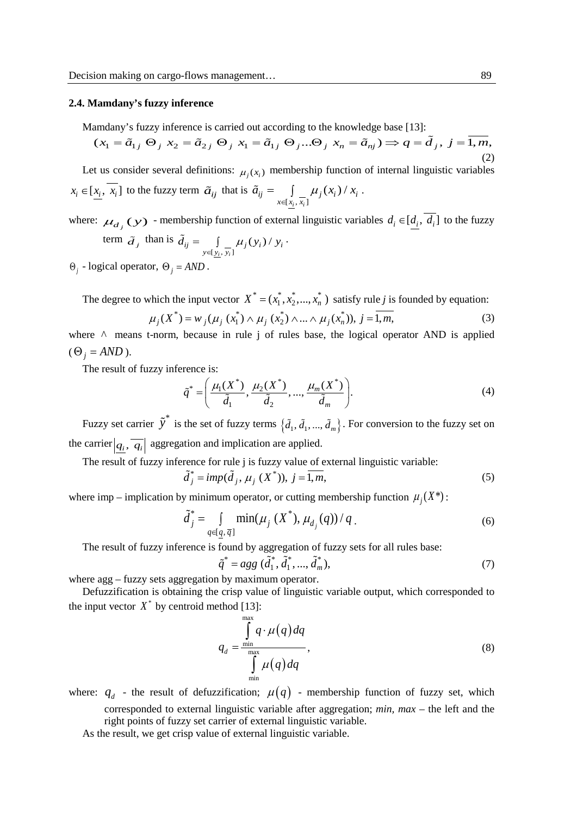#### **2.4. Mamdany's fuzzy inference**

Mamdany's fuzzy inference is carried out according to the knowledge base [13]:

$$
(x_1 = \tilde{a}_{1j} \Theta_j x_2 = \tilde{a}_{2j} \Theta_j x_1 = \tilde{a}_{1j} \Theta_j ... \Theta_j x_n = \tilde{a}_{nj}) \Rightarrow q = \tilde{d}_j, j = \overline{1, m},
$$
\n(2)

Let us consider several definitions:  $\mu_i(x_i)$  membership function of internal linguistic variables  $x_i \in [\underline{x_i}, \overline{x_i}]$  to the fuzzy term  $\tilde{a}_{ij}$  that is  $\tilde{a}_{ij} = \int_{x \in [x_i, \overline{x_i}]}$  $(x_i)$  $\frac{i}{l}$ <sup>*,* $\lambda$ <sub>i</sub></sup>  $j_{ij}$   $\qquad$   $\qquad$   $\qquad$   $\qquad$   $\qquad$   $\qquad$   $\qquad$   $\qquad$   $\qquad$   $\qquad$   $\qquad$   $\qquad$   $\qquad$   $\qquad$   $\qquad$   $\qquad$   $\qquad$   $\qquad$   $\qquad$   $\qquad$   $\qquad$   $\qquad$   $\qquad$   $\qquad$   $\qquad$   $\qquad$   $\qquad$   $\qquad$   $\qquad$   $\qquad$   $\qquad$   $\qquad$   $\qquad$   $\qquad$   $\qquad$   $\qquad$  $x \in [x_i, x_i]$  $\tilde{a}_{ii} = \int \mu_i(x_i) / x$ ∈  $\tilde{a}_{ij} = \int \mu_i(x_i) / x_i$ .

where:  $\mu_{d_i}(y)$  - membership function of external linguistic variables  $d_i \in [d_i, d_i]$  to the fuzzy term  $\tilde{d}_j$  than is  $[y_i, y_i]$  $(y_i)$ / *i i*  $j_{ij} = \int_{y \in [y_i, y_i]} \mu_j(y_i) / y_i$  $\tilde{d}_{ii} = \int \mu_i(y_i)/y_i$  $ilde{\tilde{U}}_{ij} = \int_{y \in [y_i, y_i]} \mu_j(y_i) / y_i$ .

 $\Theta_i$  - logical operator,  $\Theta_i = AND$ .

The degree to which the input vector  $X^* = (x_1^*, x_2^*,..., x_n^*)$  satisfy rule *j* is founded by equation:  $\mu_j(X^*) = w_j(\mu_j(x_1^*) \wedge \mu_j(x_2^*) \wedge ... \wedge \mu_j(x_n^*)), j = \overline{1, m},$  (3)

where ∧ means t-norm, because in rule j of rules base, the logical operator AND is applied  $(\Theta_i = AND)$ .

The result of fuzzy inference is:

$$
\tilde{q}^* = \left(\frac{\mu_1(X^*)}{\tilde{d}_1}, \frac{\mu_2(X^*)}{\tilde{d}_2}, ..., \frac{\mu_m(X^*)}{\tilde{d}_m}\right).
$$
\n(4)

Fuzzy set carrier  $\tilde{y}^*$  is the set of fuzzy terms  $\{\tilde{d}_1, \tilde{d}_1, ..., \tilde{d}_m\}$ . For conversion to the fuzzy set on the carrier  $|q_i, \overline{q_i}|$  aggregation and implication are applied.

The result of fuzzy inference for rule j is fuzzy value of external linguistic variable:

$$
\tilde{d}_j^* = \text{imp}(\tilde{d}_j, \mu_j(X^*)), j = \overline{1, m},
$$
\n<sup>(5)</sup>

where imp – implication by minimum operator, or cutting membership function  $\mu_i(X^*)$ :

$$
\tilde{d}_j^* = \int\limits_{q \in [q, \bar{q}]} \min(\mu_j(X^*), \mu_{d_j}(q))/q \tag{6}
$$

The result of fuzzy inference is found by aggregation of fuzzy sets for all rules base:

$$
\tilde{q}^* = agg\ (\tilde{d}_1^*, \tilde{d}_1^*, ..., \tilde{d}_m^*),\tag{7}
$$

where agg – fuzzy sets aggregation by maximum operator.

Defuzzification is obtaining the crisp value of linguistic variable output, which corresponded to the input vector  $X^*$  by centroid method [13]:

$$
q_{d} = \frac{\int_{\min}^{\max} q \cdot \mu(q) dq}{\int_{\min}^{\max} \mu(q) dq},
$$
\n(8)

where:  $q_d$  - the result of defuzzification;  $\mu(q)$  - membership function of fuzzy set, which corresponded to external linguistic variable after aggregation; *min, max* – the left and the right points of fuzzy set carrier of external linguistic variable.

As the result, we get crisp value of external linguistic variable.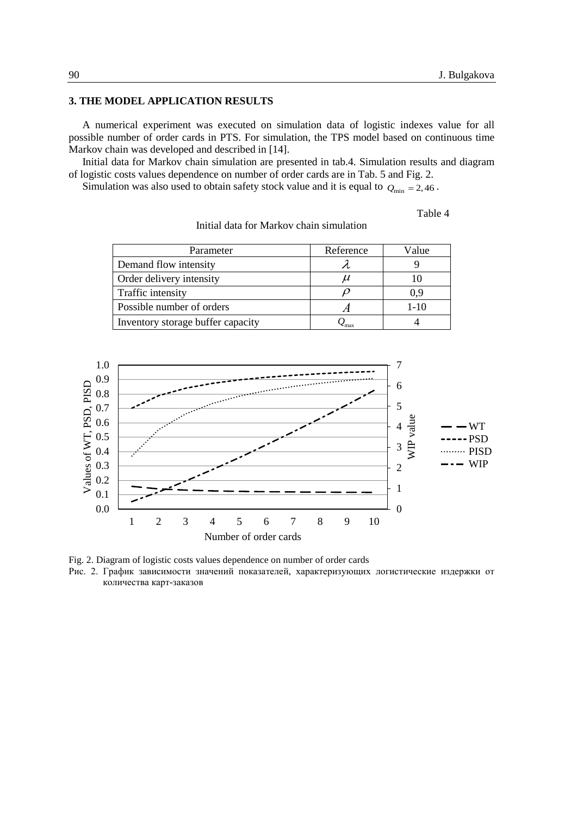## **3. THE MODEL APPLICATION RESULTS**

A numerical experiment was executed on simulation data of logistic indexes value for all possible number of order cards in PTS. For simulation, the TPS model based on continuous time Markov chain was developed and described in [14].

Initial data for Markov chain simulation are presented in tab.4. Simulation results and diagram of logistic costs values dependence on number of order cards are in Tab. 5 and Fig. 2.

Simulation was also used to obtain safety stock value and it is equal to  $Q_{\text{min}} = 2.46$ .

Table 4

| Parameter                         | Reference | Value  |
|-----------------------------------|-----------|--------|
| Demand flow intensity             |           |        |
| Order delivery intensity          |           |        |
| Traffic intensity                 |           | 0.9    |
| Possible number of orders         |           | $1-10$ |
| Inventory storage buffer capacity | $-max$    |        |

Initial data for Markov chain simulation



Fig. 2. Diagram of logistic costs values dependence on number of order cards

Рис. 2. График зависимости значений показателей, характеризующих логистические издержки от количества карт-заказов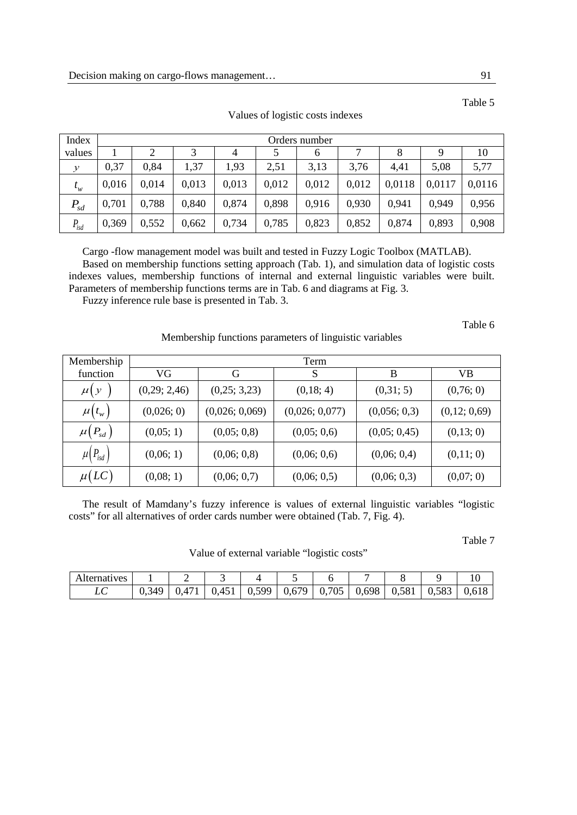| Index                      |       | Orders number |       |       |       |       |       |        |        |        |  |  |
|----------------------------|-------|---------------|-------|-------|-------|-------|-------|--------|--------|--------|--|--|
| values                     |       |               | っ     | 4     |       | 6     |       |        | Ч      | 10     |  |  |
| $\mathcal{Y}$              | 0.37  | 0,84          | 1,37  | 1,93  | 2,51  | 3,13  | 3,76  | 4,41   | 5,08   | 5,77   |  |  |
| $t_w^{\vphantom{\dagger}}$ | 0,016 | 0,014         | 0,013 | 0,013 | 0,012 | 0,012 | 0,012 | 0,0118 | 0,0117 | 0.0116 |  |  |
| $P_{sd}$                   | 0,701 | 0,788         | 0,840 | 0,874 | 0,898 | 0,916 | 0.930 | 0.941  | 0,949  | 0.956  |  |  |
| $P_{isd}$                  | 0,369 | 0,552         | 0,662 | 0,734 | 0,785 | 0,823 | 0,852 | 0,874  | 0,893  | 0,908  |  |  |

Values of logistic costs indexes

Cargo -flow management model was built and tested in Fuzzy Logic Toolbox (MATLAB). Based on membership functions setting approach (Tab. 1), and simulation data of logistic costs indexes values, membership functions of internal and external linguistic variables were built. Parameters of membership functions terms are in Tab. 6 and diagrams at Fig. 3.

Fuzzy inference rule base is presented in Tab. 3.

Table 6

# Membership functions parameters of linguistic variables

| Membership          | Term         |                |                |              |              |  |  |  |  |  |
|---------------------|--------------|----------------|----------------|--------------|--------------|--|--|--|--|--|
| function            | VG           | G              | S              | B            | VВ           |  |  |  |  |  |
| $\mu(y)$            | (0,29; 2,46) | (0,25; 3,23)   | (0,18; 4)      | (0,31; 5)    | (0,76; 0)    |  |  |  |  |  |
| $\mu(t_{w})$        | (0,026; 0)   | (0,026; 0,069) | (0,026; 0,077) | (0,056; 0,3) | (0,12; 0,69) |  |  |  |  |  |
| $\mu(P_{sd})$       | (0,05; 1)    | (0,05; 0,8)    | (0,05; 0,6)    | (0,05; 0,45) | (0,13; 0)    |  |  |  |  |  |
| $\mu(P_{\rm{isd}})$ | (0,06; 1)    | (0,06; 0,8)    | (0,06; 0,6)    | (0,06; 0,4)  | (0,11; 0)    |  |  |  |  |  |
| $\mu (LC)$          | (0,08; 1)    | (0,06; 0,7)    | (0,06; 0,5)    | (0,06; 0,3)  | (0,07; 0)    |  |  |  |  |  |

The result of Mamdany's fuzzy inference is values of external linguistic variables "logistic costs" for all alternatives of order cards number were obtained (Tab. 7, Fig. 4).

Table 7

| Value of external variable "logistic costs" |  |  |
|---------------------------------------------|--|--|
|                                             |  |  |

| <b>Alternatives</b> |                       |       |       |       |               |       |       |       |       |
|---------------------|-----------------------|-------|-------|-------|---------------|-------|-------|-------|-------|
|                     | 349<br>$\mathsf{U}$ . | (141) | 0,451 | 0,599 | $0,679$ 0.705 | 0,698 | 0,581 | 0,583 | 0.618 |

Table 5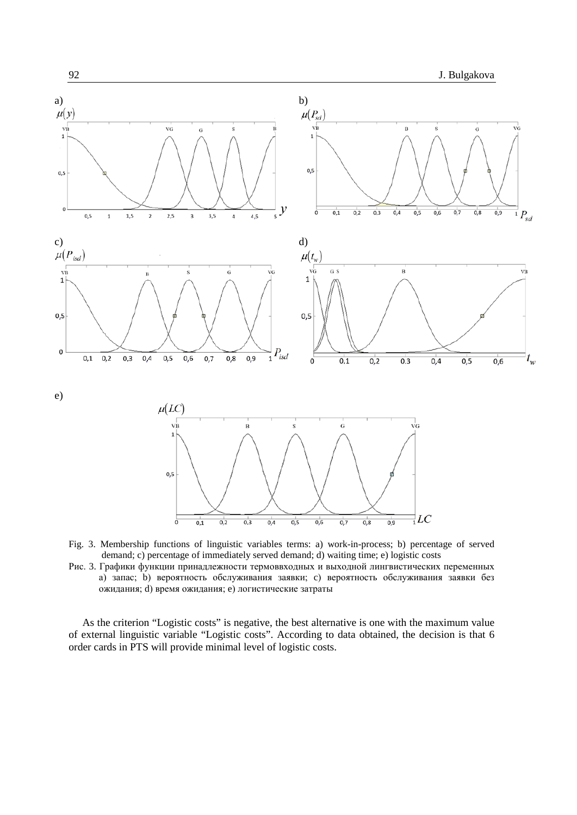

- Fig. 3. Membership functions of linguistic variables terms: a) work-in-process; b) percentage of served demand; c) percentage of immediately served demand; d) waiting time; e) logistic costs
- Рис. 3. Графики функции принадлежности термоввходных и выходной лингвистических переменных а) запас; b) вероятность обслуживания заявки; c) вероятность обслуживания заявки без ожидания; d) время ожидания; e) логистические затраты

As the criterion "Logistic costs" is negative, the best alternative is one with the maximum value of external linguistic variable "Logistic costs". According to data obtained, the decision is that 6 order cards in PTS will provide minimal level of logistic costs.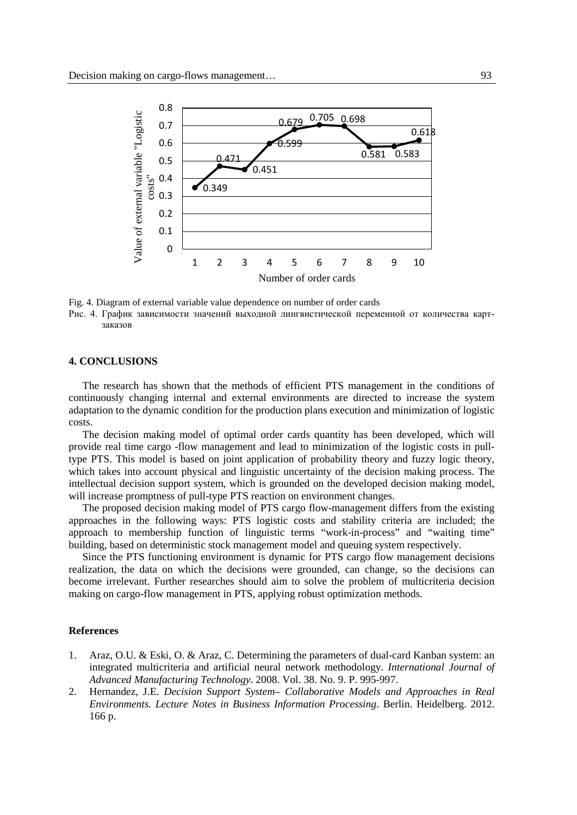

Fig. 4. Diagram of external variable value dependence on number of order cards

Рис. 4. График зависимости значений выходной лингвистической переменной от количества картзаказов

#### **4. CONCLUSIONS**

The research has shown that the methods of efficient PTS management in the conditions of continuously changing internal and external environments are directed to increase the system adaptation to the dynamic condition for the production plans execution and minimization of logistic costs.

The decision making model of optimal order cards quantity has been developed, which will provide real time cargo -flow management and lead to minimization of the logistic costs in pulltype PTS. This model is based on joint application of probability theory and fuzzy logic theory, which takes into account physical and linguistic uncertainty of the decision making process. The intellectual decision support system, which is grounded on the developed decision making model, will increase promptness of pull-type PTS reaction on environment changes.

The proposed decision making model of PTS cargo flow-management differs from the existing approaches in the following ways: PTS logistic costs and stability criteria are included; the approach to membership function of linguistic terms "work-in-process" and "waiting time" building, based on deterministic stock management model and queuing system respectively.

Since the PTS functioning environment is dynamic for PTS cargo flow management decisions realization, the data on which the decisions were grounded, can change, so the decisions can become irrelevant. Further researches should aim to solve the problem of multicriteria decision making on cargo-flow management in PTS, applying robust optimization methods.

### **References**

- 1. Araz, O.U. & Eski, O. & Araz, C. Determining the parameters of dual-card Kanban system: an integrated multicriteria and artificial neural network methodology. *International Journal of Advanced Manufacturing Technology*. 2008. Vol. 38. No. 9. P. 995-997.
- 2. Hernandez, J.E. *Decision Support System– Collaborative Models and Approaches in Real Environments. Lecture Notes in Business Information Processing*. Berlin. Heidelberg. 2012. 166 p.